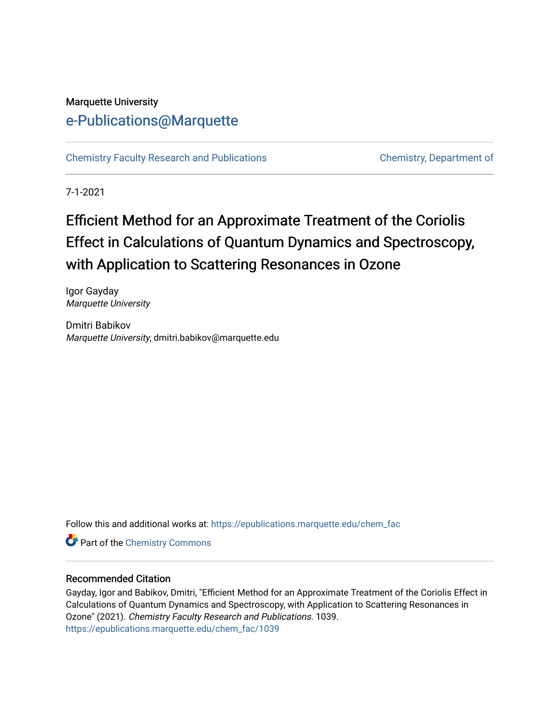## Marquette University [e-Publications@Marquette](https://epublications.marquette.edu/)

[Chemistry Faculty Research and Publications](https://epublications.marquette.edu/chem_fac) **Chemistry, Department of** 

7-1-2021

# Efficient Method for an Approximate Treatment of the Coriolis Effect in Calculations of Quantum Dynamics and Spectroscopy, with Application to Scattering Resonances in Ozone

Igor Gayday Marquette University

Dmitri Babikov Marquette University, dmitri.babikov@marquette.edu

Follow this and additional works at: [https://epublications.marquette.edu/chem\\_fac](https://epublications.marquette.edu/chem_fac?utm_source=epublications.marquette.edu%2Fchem_fac%2F1039&utm_medium=PDF&utm_campaign=PDFCoverPages) 

**Part of the Chemistry Commons** 

#### Recommended Citation

Gayday, Igor and Babikov, Dmitri, "Efficient Method for an Approximate Treatment of the Coriolis Effect in Calculations of Quantum Dynamics and Spectroscopy, with Application to Scattering Resonances in Ozone" (2021). Chemistry Faculty Research and Publications. 1039. [https://epublications.marquette.edu/chem\\_fac/1039](https://epublications.marquette.edu/chem_fac/1039?utm_source=epublications.marquette.edu%2Fchem_fac%2F1039&utm_medium=PDF&utm_campaign=PDFCoverPages)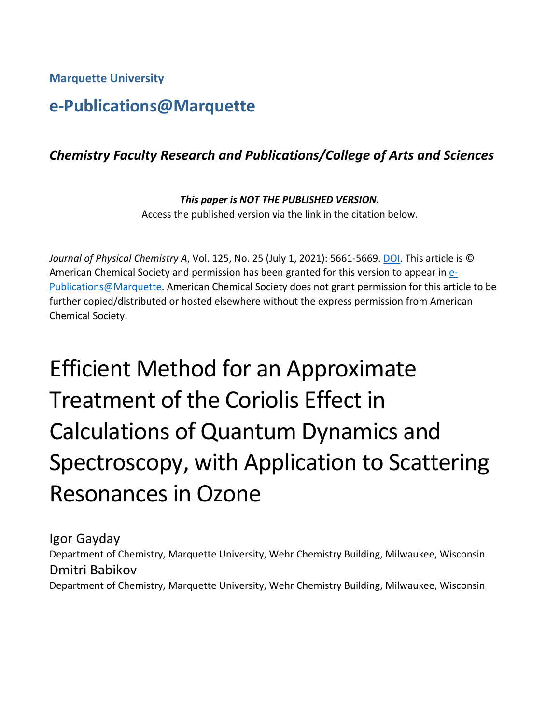**Marquette University**

## **e-Publications@Marquette**

## *Chemistry Faculty Research and Publications/College of Arts and Sciences*

*This paper is NOT THE PUBLISHED VERSION***.**  Access the published version via the link in the citation below.

*Journal of Physical Chemistry A*, Vol. 125, No. 25 (July 1, 2021): 5661-5669. [DOI.](https://doi.org/10.1021/acs.jpca.1c03350) This article is © American Chemical Society and permission has been granted for this version to appear in [e-](http://epublications.marquette.edu/)[Publications@Marquette.](http://epublications.marquette.edu/) American Chemical Society does not grant permission for this article to be further copied/distributed or hosted elsewhere without the express permission from American Chemical Society.

# Efficient Method for an Approximate Treatment of the Coriolis Effect in Calculations of Quantum Dynamics and Spectroscopy, with Application to Scattering Resonances in Ozone

Igor Gayday Department of Chemistry, Marquette University, Wehr Chemistry Building, Milwaukee, Wisconsin Dmitri Babikov Department of Chemistry, Marquette University, Wehr Chemistry Building, Milwaukee, Wisconsin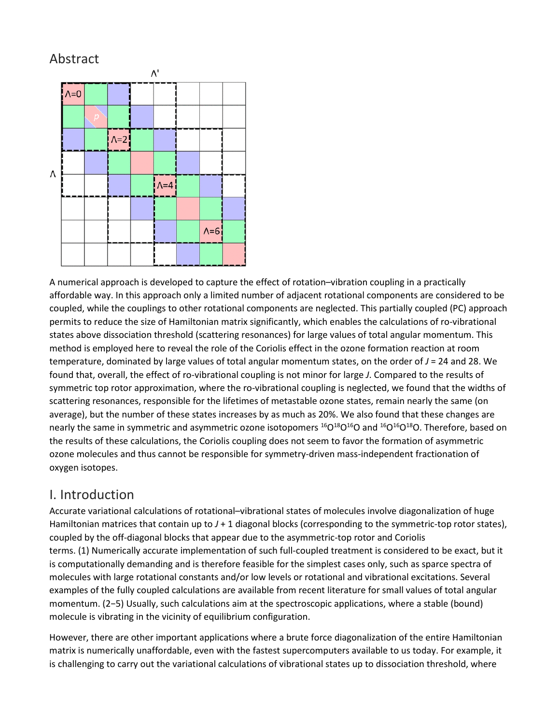## Abstract



A numerical approach is developed to capture the effect of rotation–vibration coupling in a practically affordable way. In this approach only a limited number of adjacent rotational components are considered to be coupled, while the couplings to other rotational components are neglected. This partially coupled (PC) approach permits to reduce the size of Hamiltonian matrix significantly, which enables the calculations of ro-vibrational states above dissociation threshold (scattering resonances) for large values of total angular momentum. This method is employed here to reveal the role of the Coriolis effect in the ozone formation reaction at room temperature, dominated by large values of total angular momentum states, on the order of *J* = 24 and 28. We found that, overall, the effect of ro-vibrational coupling is not minor for large *J*. Compared to the results of symmetric top rotor approximation, where the ro-vibrational coupling is neglected, we found that the widths of scattering resonances, responsible for the lifetimes of metastable ozone states, remain nearly the same (on average), but the number of these states increases by as much as 20%. We also found that these changes are nearly the same in symmetric and asymmetric ozone isotopomers <sup>16</sup>O<sup>18</sup>O<sup>16</sup>O and <sup>16</sup>O<sup>16</sup>O<sup>18</sup>O. Therefore, based on the results of these calculations, the Coriolis coupling does not seem to favor the formation of asymmetric ozone molecules and thus cannot be responsible for symmetry-driven mass-independent fractionation of oxygen isotopes.

## I. Introduction

Accurate variational calculations of rotational–vibrational states of molecules involve diagonalization of huge Hamiltonian matrices that contain up to  $J + 1$  diagonal blocks (corresponding to the symmetric-top rotor states), coupled by the off-diagonal blocks that appear due to the asymmetric-top rotor and Coriolis terms. (1) Numerically accurate implementation of such full-coupled treatment is considered to be exact, but it is computationally demanding and is therefore feasible for the simplest cases only, such as sparce spectra of molecules with large rotational constants and/or low levels or rotational and vibrational excitations. Several examples of the fully coupled calculations are available from recent literature for small values of total angular momentum. (2−5) Usually, such calculations aim at the spectroscopic applications, where a stable (bound) molecule is vibrating in the vicinity of equilibrium configuration.

However, there are other important applications where a brute force diagonalization of the entire Hamiltonian matrix is numerically unaffordable, even with the fastest supercomputers available to us today. For example, it is challenging to carry out the variational calculations of vibrational states up to dissociation threshold, where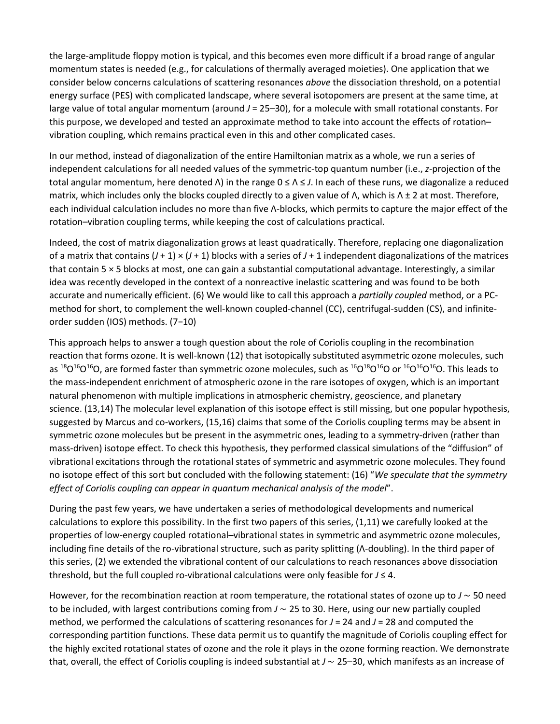the large-amplitude floppy motion is typical, and this becomes even more difficult if a broad range of angular momentum states is needed (e.g., for calculations of thermally averaged moieties). One application that we consider below concerns calculations of scattering resonances *above* the dissociation threshold, on a potential energy surface (PES) with complicated landscape, where several isotopomers are present at the same time, at large value of total angular momentum (around *J* = 25–30), for a molecule with small rotational constants. For this purpose, we developed and tested an approximate method to take into account the effects of rotation– vibration coupling, which remains practical even in this and other complicated cases.

In our method, instead of diagonalization of the entire Hamiltonian matrix as a whole, we run a series of independent calculations for all needed values of the symmetric-top quantum number (i.e., *z*-projection of the total angular momentum, here denoted Λ) in the range 0 ≤ Λ ≤ *J*. In each of these runs, we diagonalize a reduced matrix, which includes only the blocks coupled directly to a given value of  $\Lambda$ , which is  $\Lambda \pm 2$  at most. Therefore, each individual calculation includes no more than five Λ-blocks, which permits to capture the major effect of the rotation–vibration coupling terms, while keeping the cost of calculations practical.

Indeed, the cost of matrix diagonalization grows at least quadratically. Therefore, replacing one diagonalization of a matrix that contains  $(J + 1) \times (J + 1)$  blocks with a series of  $J + 1$  independent diagonalizations of the matrices that contain 5 × 5 blocks at most, one can gain a substantial computational advantage. Interestingly, a similar idea was recently developed in the context of a nonreactive inelastic scattering and was found to be both accurate and numerically efficient. (6) We would like to call this approach a *partially coupled* method, or a PCmethod for short, to complement the well-known coupled-channel (CC), centrifugal-sudden (CS), and infiniteorder sudden (IOS) methods. (7−10)

This approach helps to answer a tough question about the role of Coriolis coupling in the recombination reaction that forms ozone. It is well-known (12) that isotopically substituted asymmetric ozone molecules, such as  $^{18}O^{16}O^{16}O$ , are formed faster than symmetric ozone molecules, such as  $^{16}O^{16}O^{16}O$  or  $^{16}O^{16}O^{16}O$ . This leads to the mass-independent enrichment of atmospheric ozone in the rare isotopes of oxygen, which is an important natural phenomenon with multiple implications in atmospheric chemistry, geoscience, and planetary science. (13,14) The molecular level explanation of this isotope effect is still missing, but one popular hypothesis, suggested by Marcus and co-workers, (15,16) claims that some of the Coriolis coupling terms may be absent in symmetric ozone molecules but be present in the asymmetric ones, leading to a symmetry-driven (rather than mass-driven) isotope effect. To check this hypothesis, they performed classical simulations of the "diffusion" of vibrational excitations through the rotational states of symmetric and asymmetric ozone molecules. They found no isotope effect of this sort but concluded with the following statement: (16) "*We speculate that the symmetry effect of Coriolis coupling can appear in quantum mechanical analysis of the model*".

During the past few years, we have undertaken a series of methodological developments and numerical calculations to explore this possibility. In the first two papers of this series, (1,11) we carefully looked at the properties of low-energy coupled rotational–vibrational states in symmetric and asymmetric ozone molecules, including fine details of the ro-vibrational structure, such as parity splitting (Λ-doubling). In the third paper of this series, (2) we extended the vibrational content of our calculations to reach resonances above dissociation threshold, but the full coupled ro-vibrational calculations were only feasible for *J* ≤ 4.

However, for the recombination reaction at room temperature, the rotational states of ozone up to *J* ∼ 50 need to be included, with largest contributions coming from *J* ∼ 25 to 30. Here, using our new partially coupled method, we performed the calculations of scattering resonances for  $J = 24$  and  $J = 28$  and computed the corresponding partition functions. These data permit us to quantify the magnitude of Coriolis coupling effect for the highly excited rotational states of ozone and the role it plays in the ozone forming reaction. We demonstrate that, overall, the effect of Coriolis coupling is indeed substantial at *J* ∼ 25–30, which manifests as an increase of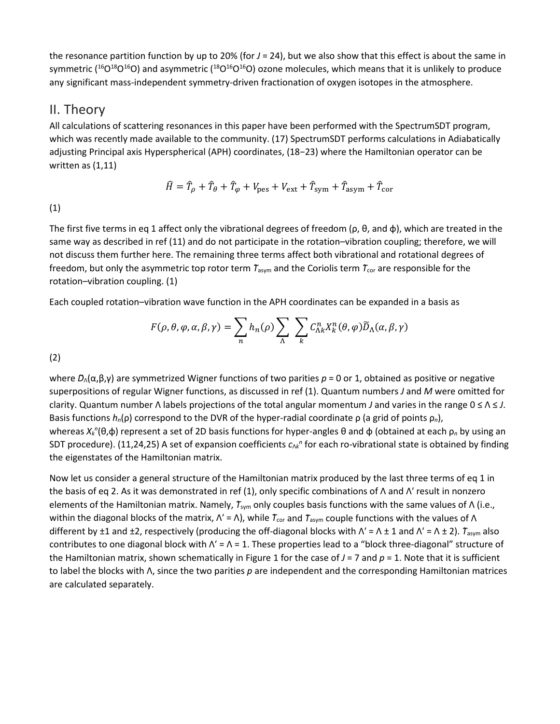the resonance partition function by up to 20% (for *J* = 24), but we also show that this effect is about the same in symmetric ( $^{16}O^{16}O^{16}O$ ) and asymmetric ( $^{18}O^{16}O^{16}O$ ) ozone molecules, which means that it is unlikely to produce any significant mass-independent symmetry-driven fractionation of oxygen isotopes in the atmosphere.

#### II. Theory

All calculations of scattering resonances in this paper have been performed with the SpectrumSDT program, which was recently made available to the community. (17) SpectrumSDT performs calculations in Adiabatically adjusting Principal axis Hyperspherical (APH) coordinates, (18−23) where the Hamiltonian operator can be written as (1,11)

$$
\hat{H} = \hat{T}_{\rho} + \hat{T}_{\theta} + \hat{T}_{\varphi} + V_{\text{pes}} + V_{\text{ext}} + \hat{T}_{\text{sym}} + \hat{T}_{\text{asym}} + \hat{T}_{\text{cor}}
$$

(1)

The first five terms in eq 1 affect only the vibrational degrees of freedom ( $ρ$ ,  $θ$ , and  $φ$ ), which are treated in the same way as described in ref (11) and do not participate in the rotation–vibration coupling; therefore, we will not discuss them further here. The remaining three terms affect both vibrational and rotational degrees of freedom, but only the asymmetric top rotor term  $\tau_{\text{asym}}$  and the Coriolis term  $\tau_{\text{cor}}$  are responsible for the rotation–vibration coupling. (1)

Each coupled rotation–vibration wave function in the APH coordinates can be expanded in a basis as

$$
F(\rho, \theta, \varphi, \alpha, \beta, \gamma) = \sum_{n} h_n(\rho) \sum_{\Lambda} \sum_{k} C_{\Lambda k}^n X_k^n(\theta, \varphi) \widetilde{D}_{\Lambda}(\alpha, \beta, \gamma)
$$

(2)

where D<sub>Λ</sub>(α,β,γ) are symmetrized Wigner functions of two parities  $p = 0$  or 1, obtained as positive or negative superpositions of regular Wigner functions, as discussed in ref (1). Quantum numbers *J* and *M* were omitted for clarity. Quantum number Λ labels projections of the total angular momentum *J* and varies in the range 0 ≤ Λ ≤ *J*. Basis functions *hn*(ρ) correspond to the DVR of the hyper-radial coordinate ρ (a grid of points ρ*n*), whereas X<sub>k</sub><sup>n</sup>(θ,φ) represent a set of 2D basis functions for hyper-angles θ and φ (obtained at each ρ<sub>n</sub> by using an SDT procedure). (11,24,25) A set of expansion coefficients  $c_{\wedge k}$ <sup>n</sup> for each ro-vibrational state is obtained by finding the eigenstates of the Hamiltonian matrix.

Now let us consider a general structure of the Hamiltonian matrix produced by the last three terms of eq 1 in the basis of eq 2. As it was demonstrated in ref (1), only specific combinations of Λ and Λ′ result in nonzero elements of the Hamiltonian matrix. Namely, *T*<sub>sym</sub> only couples basis functions with the same values of Λ (i.e., within the diagonal blocks of the matrix,  $\Lambda'$  =  $\Lambda$ ), while  $\tau_{cor}$  and  $\tau_{asym}$  couple functions with the values of  $\Lambda$ different by ±1 and ±2, respectively (producing the off-diagonal blocks with  $\Lambda' = \Lambda \pm 1$  and  $\Lambda' = \Lambda \pm 2$ ).  $T_{asym}$  also contributes to one diagonal block with  $\Lambda' = \Lambda = 1$ . These properties lead to a "block three-diagonal" structure of the Hamiltonian matrix, shown schematically in Figure 1 for the case of *J* = 7 and *p* = 1. Note that it is sufficient to label the blocks with Λ, since the two parities *p* are independent and the corresponding Hamiltonian matrices are calculated separately.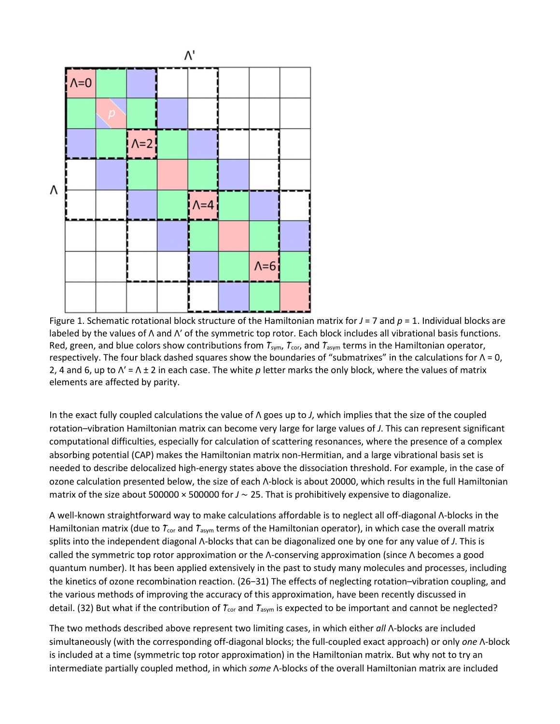

Figure 1. Schematic rotational block structure of the Hamiltonian matrix for *J* = 7 and *p* = 1. Individual blocks are labeled by the values of Λ and Λ′ of the symmetric top rotor. Each block includes all vibrational basis functions. Red, green, and blue colors show contributions from  $T_{sym}$ ,  $T_{cor}$ , and  $T_{asym}$  terms in the Hamiltonian operator, respectively. The four black dashed squares show the boundaries of "submatrixes" in the calculations for Λ = 0, 2, 4 and 6, up to Λ′ = Λ ± 2 in each case. The white *p* letter marks the only block, where the values of matrix elements are affected by parity.

In the exact fully coupled calculations the value of Λ goes up to *J*, which implies that the size of the coupled rotation–vibration Hamiltonian matrix can become very large for large values of *J*. This can represent significant computational difficulties, especially for calculation of scattering resonances, where the presence of a complex absorbing potential (CAP) makes the Hamiltonian matrix non-Hermitian, and a large vibrational basis set is needed to describe delocalized high-energy states above the dissociation threshold. For example, in the case of ozone calculation presented below, the size of each Λ-block is about 20000, which results in the full Hamiltonian matrix of the size about 500000 × 500000 for *J* ∼ 25. That is prohibitively expensive to diagonalize.

A well-known straightforward way to make calculations affordable is to neglect all off-diagonal Λ-blocks in the Hamiltonian matrix (due to  $\tau_{cor}$  and  $\tau_{asym}$  terms of the Hamiltonian operator), in which case the overall matrix splits into the independent diagonal Λ-blocks that can be diagonalized one by one for any value of *J*. This is called the symmetric top rotor approximation or the Λ-conserving approximation (since Λ becomes a good quantum number). It has been applied extensively in the past to study many molecules and processes, including the kinetics of ozone recombination reaction. (26−31) The effects of neglecting rotation–vibration coupling, and the various methods of improving the accuracy of this approximation, have been recently discussed in detail. (32) But what if the contribution of  $T_{cor}$  and  $T_{asym}$  is expected to be important and cannot be neglected?

The two methods described above represent two limiting cases, in which either *all* Λ-blocks are included simultaneously (with the corresponding off-diagonal blocks; the full-coupled exact approach) or only *one* Λ-block is included at a time (symmetric top rotor approximation) in the Hamiltonian matrix. But why not to try an intermediate partially coupled method, in which *some* Λ-blocks of the overall Hamiltonian matrix are included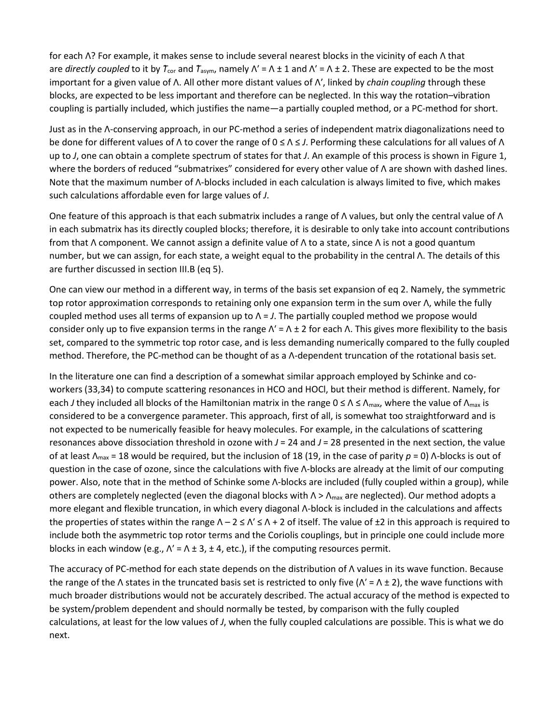for each Λ? For example, it makes sense to include several nearest blocks in the vicinity of each Λ that are *directly coupled* to it by  $T_{cor}$  and  $T_{asym}$ , namely  $\Lambda' = \Lambda \pm 1$  and  $\Lambda' = \Lambda \pm 2$ . These are expected to be the most important for a given value of Λ. All other more distant values of Λ′, linked by *chain coupling* through these blocks, are expected to be less important and therefore can be neglected. In this way the rotation–vibration coupling is partially included, which justifies the name—a partially coupled method, or a PC-method for short.

Just as in the Λ-conserving approach, in our PC-method a series of independent matrix diagonalizations need to be done for different values of Λ to cover the range of 0 ≤ Λ ≤ *J*. Performing these calculations for all values of Λ up to *J*, one can obtain a complete spectrum of states for that *J*. An example of this process is shown in Figure 1, where the borders of reduced "submatrixes" considered for every other value of Λ are shown with dashed lines. Note that the maximum number of Λ-blocks included in each calculation is always limited to five, which makes such calculations affordable even for large values of *J*.

One feature of this approach is that each submatrix includes a range of Λ values, but only the central value of Λ in each submatrix has its directly coupled blocks; therefore, it is desirable to only take into account contributions from that Λ component. We cannot assign a definite value of Λ to a state, since Λ is not a good quantum number, but we can assign, for each state, a weight equal to the probability in the central Λ. The details of this are further discussed in section III.B (eq 5).

One can view our method in a different way, in terms of the basis set expansion of eq 2. Namely, the symmetric top rotor approximation corresponds to retaining only one expansion term in the sum over Λ, while the fully coupled method uses all terms of expansion up to Λ = *J*. The partially coupled method we propose would consider only up to five expansion terms in the range  $\Lambda' = \Lambda \pm 2$  for each  $\Lambda$ . This gives more flexibility to the basis set, compared to the symmetric top rotor case, and is less demanding numerically compared to the fully coupled method. Therefore, the PC-method can be thought of as a Λ-dependent truncation of the rotational basis set.

In the literature one can find a description of a somewhat similar approach employed by Schinke and coworkers (33,34) to compute scattering resonances in HCO and HOCl, but their method is different. Namely, for each *J* they included all blocks of the Hamiltonian matrix in the range 0 ≤ Λ ≤ Λ<sub>max</sub>, where the value of Λ<sub>max</sub> is considered to be a convergence parameter. This approach, first of all, is somewhat too straightforward and is not expected to be numerically feasible for heavy molecules. For example, in the calculations of scattering resonances above dissociation threshold in ozone with *J* = 24 and *J* = 28 presented in the next section, the value of at least Λmax = 18 would be required, but the inclusion of 18 (19, in the case of parity *p* = 0) Λ-blocks is out of question in the case of ozone, since the calculations with five Λ-blocks are already at the limit of our computing power. Also, note that in the method of Schinke some Λ-blocks are included (fully coupled within a group), while others are completely neglected (even the diagonal blocks with  $\Lambda > \Lambda_{\text{max}}$  are neglected). Our method adopts a more elegant and flexible truncation, in which every diagonal Λ-block is included in the calculations and affects the properties of states within the range  $\Lambda - 2 \leq \Lambda' \leq \Lambda + 2$  of itself. The value of  $\pm 2$  in this approach is required to include both the asymmetric top rotor terms and the Coriolis couplings, but in principle one could include more blocks in each window (e.g.,  $\Lambda' = \Lambda \pm 3$ ,  $\pm 4$ , etc.), if the computing resources permit.

The accuracy of PC-method for each state depends on the distribution of Λ values in its wave function. Because the range of the Λ states in the truncated basis set is restricted to only five ( $Λ' = Λ ± 2$ ), the wave functions with much broader distributions would not be accurately described. The actual accuracy of the method is expected to be system/problem dependent and should normally be tested, by comparison with the fully coupled calculations, at least for the low values of *J*, when the fully coupled calculations are possible. This is what we do next.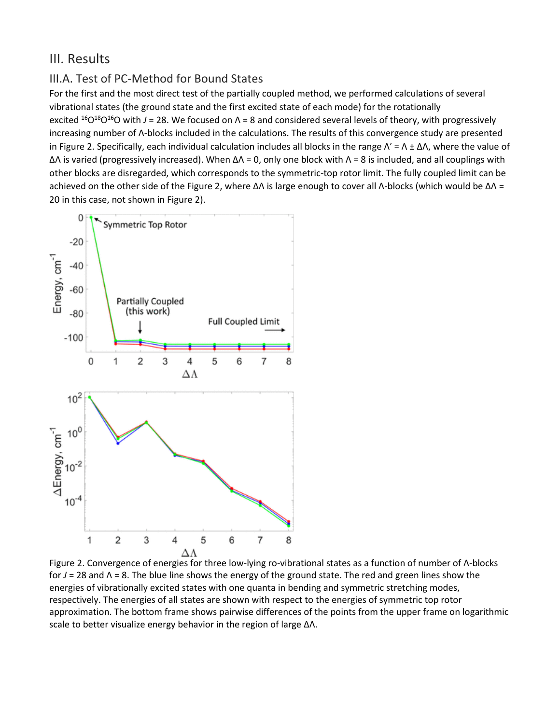#### III. Results

#### III.A. Test of PC-Method for Bound States

For the first and the most direct test of the partially coupled method, we performed calculations of several vibrational states (the ground state and the first excited state of each mode) for the rotationally excited <sup>16</sup>O<sup>18</sup>O<sup>16</sup>O with *J* = 28. We focused on  $\Lambda$  = 8 and considered several levels of theory, with progressively increasing number of Λ-blocks included in the calculations. The results of this convergence study are presented in Figure 2. Specifically, each individual calculation includes all blocks in the range  $Λ' = Λ ± ΔΛ$ , where the value of ΔΛ is varied (progressively increased). When ΔΛ = 0, only one block with Λ = 8 is included, and all couplings with other blocks are disregarded, which corresponds to the symmetric-top rotor limit. The fully coupled limit can be achieved on the other side of the Figure 2, where ΔΛ is large enough to cover all Λ-blocks (which would be ΔΛ = 20 in this case, not shown in Figure 2).



Figure 2. Convergence of energies for three low-lying ro-vibrational states as a function of number of Λ-blocks for *J* = 28 and Λ = 8. The blue line shows the energy of the ground state. The red and green lines show the energies of vibrationally excited states with one quanta in bending and symmetric stretching modes, respectively. The energies of all states are shown with respect to the energies of symmetric top rotor approximation. The bottom frame shows pairwise differences of the points from the upper frame on logarithmic scale to better visualize energy behavior in the region of large ΔΛ.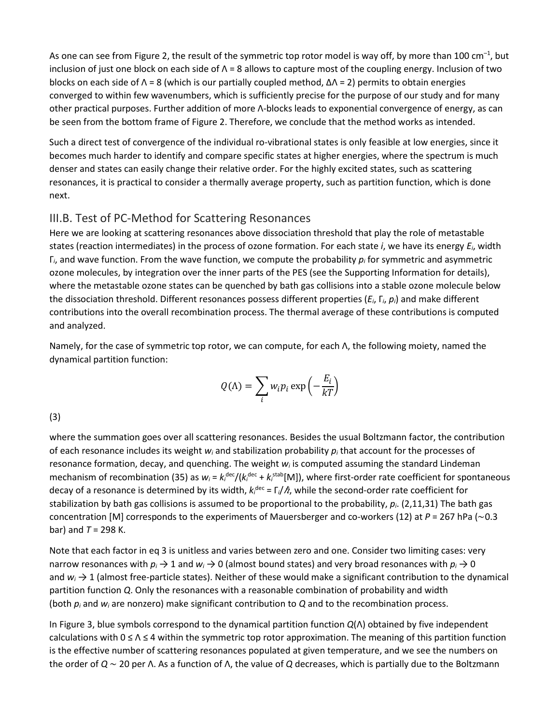As one can see from Figure 2, the result of the symmetric top rotor model is way off, by more than 100 cm<sup>-1</sup>, but inclusion of just one block on each side of  $\Lambda$  = 8 allows to capture most of the coupling energy. Inclusion of two blocks on each side of  $\Lambda$  = 8 (which is our partially coupled method,  $\Delta\Lambda$  = 2) permits to obtain energies converged to within few wavenumbers, which is sufficiently precise for the purpose of our study and for many other practical purposes. Further addition of more Λ-blocks leads to exponential convergence of energy, as can be seen from the bottom frame of Figure 2. Therefore, we conclude that the method works as intended.

Such a direct test of convergence of the individual ro-vibrational states is only feasible at low energies, since it becomes much harder to identify and compare specific states at higher energies, where the spectrum is much denser and states can easily change their relative order. For the highly excited states, such as scattering resonances, it is practical to consider a thermally average property, such as partition function, which is done next.

#### III.B. Test of PC-Method for Scattering Resonances

Here we are looking at scattering resonances above dissociation threshold that play the role of metastable states (reaction intermediates) in the process of ozone formation. For each state *i*, we have its energy *Ei*, width Γ*i*, and wave function. From the wave function, we compute the probability *pi* for symmetric and asymmetric ozone molecules, by integration over the inner parts of the PES (see the Supporting Information for details), where the metastable ozone states can be quenched by bath gas collisions into a stable ozone molecule below the dissociation threshold. Different resonances possess different properties (*Ei*, Γ*i*, *pi*) and make different contributions into the overall recombination process. The thermal average of these contributions is computed and analyzed.

Namely, for the case of symmetric top rotor, we can compute, for each Λ, the following moiety, named the dynamical partition function:

$$
Q(\Lambda) = \sum_{i} w_{i} p_{i} \exp\left(-\frac{E_{i}}{kT}\right)
$$

(3)

where the summation goes over all scattering resonances. Besides the usual Boltzmann factor, the contribution of each resonance includes its weight *wi* and stabilization probability *pi* that account for the processes of resonance formation, decay, and quenching. The weight *wi* is computed assuming the standard Lindeman mechanism of recombination (35) as  $w_i = k_i^{\text{dec}}/(k_i^{\text{dec}} + k_i^{\text{stab}}[M])$ , where first-order rate coefficient for spontaneous decay of a resonance is determined by its width,  $k_i^{\text{dec}} = \Gamma_i / \hbar$ , while the second-order rate coefficient for stabilization by bath gas collisions is assumed to be proportional to the probability, *pi*. (2,11,31) The bath gas concentration [M] corresponds to the experiments of Mauersberger and co-workers (12) at *P* = 267 hPa (∼0.3 bar) and  $T = 298$  K.

Note that each factor in eq 3 is unitless and varies between zero and one. Consider two limiting cases: very narrow resonances with  $p_i \to 1$  and  $w_i \to 0$  (almost bound states) and very broad resonances with  $p_i \to 0$ and  $w_i \rightarrow 1$  (almost free-particle states). Neither of these would make a significant contribution to the dynamical partition function *Q*. Only the resonances with a reasonable combination of probability and width (both *pi* and *wi* are nonzero) make significant contribution to *Q* and to the recombination process.

In Figure 3, blue symbols correspond to the dynamical partition function *Q*(Λ) obtained by five independent calculations with 0 ≤ Λ ≤ 4 within the symmetric top rotor approximation. The meaning of this partition function is the effective number of scattering resonances populated at given temperature, and we see the numbers on the order of *Q* ∼ 20 per Λ. As a function of Λ, the value of *Q* decreases, which is partially due to the Boltzmann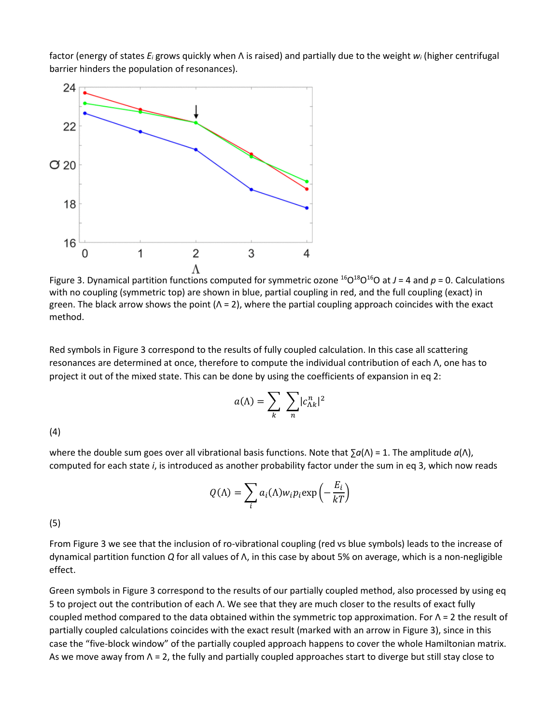factor (energy of states *Ei* grows quickly when Λ is raised) and partially due to the weight *wi* (higher centrifugal barrier hinders the population of resonances).



Figure 3. Dynamical partition functions computed for symmetric ozone  $^{16}O^{18}O^{16}O$  at  $J = 4$  and  $p = 0$ . Calculations with no coupling (symmetric top) are shown in blue, partial coupling in red, and the full coupling (exact) in green. The black arrow shows the point  $(Λ = 2)$ , where the partial coupling approach coincides with the exact method.

Red symbols in Figure 3 correspond to the results of fully coupled calculation. In this case all scattering resonances are determined at once, therefore to compute the individual contribution of each Λ, one has to project it out of the mixed state. This can be done by using the coefficients of expansion in eq 2:

$$
a(\Lambda) = \sum_{k} \sum_{n} |c_{\Lambda k}^{n}|^2
$$

(4)

where the double sum goes over all vibrational basis functions. Note that ∑*a*(Λ) = 1. The amplitude *a*(Λ), computed for each state *i*, is introduced as another probability factor under the sum in eq 3, which now reads

$$
Q(\Lambda) = \sum_{i} a_i(\Lambda) w_i p_i \exp\left(-\frac{E_i}{kT}\right)
$$

(5)

From Figure 3 we see that the inclusion of ro-vibrational coupling (red vs blue symbols) leads to the increase of dynamical partition function *Q* for all values of Λ, in this case by about 5% on average, which is a non-negligible effect.

Green symbols in Figure 3 correspond to the results of our partially coupled method, also processed by using eq 5 to project out the contribution of each Λ. We see that they are much closer to the results of exact fully coupled method compared to the data obtained within the symmetric top approximation. For Λ = 2 the result of partially coupled calculations coincides with the exact result (marked with an arrow in Figure 3), since in this case the "five-block window" of the partially coupled approach happens to cover the whole Hamiltonian matrix. As we move away from Λ = 2, the fully and partially coupled approaches start to diverge but still stay close to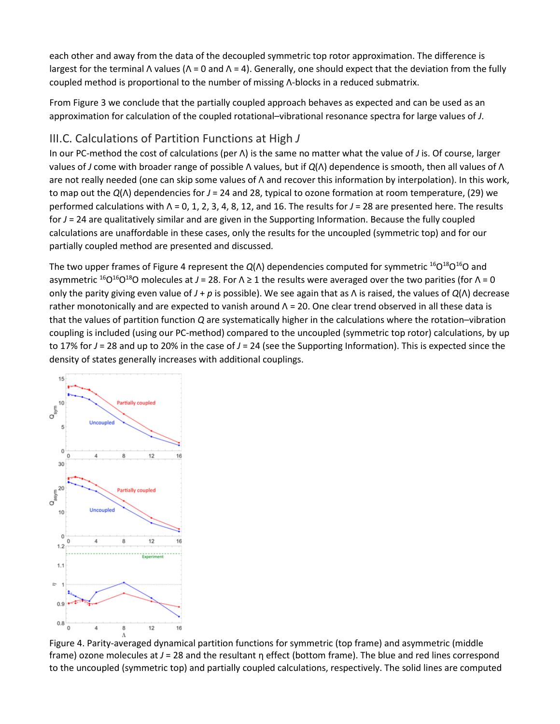each other and away from the data of the decoupled symmetric top rotor approximation. The difference is largest for the terminal Λ values ( $Λ = 0$  and  $Λ = 4$ ). Generally, one should expect that the deviation from the fully coupled method is proportional to the number of missing Λ-blocks in a reduced submatrix.

From Figure 3 we conclude that the partially coupled approach behaves as expected and can be used as an approximation for calculation of the coupled rotational–vibrational resonance spectra for large values of *J*.

#### III.C. Calculations of Partition Functions at High *J*

In our PC-method the cost of calculations (per Λ) is the same no matter what the value of *J* is. Of course, larger values of *J* come with broader range of possible Λ values, but if *Q*(Λ) dependence is smooth, then all values of Λ are not really needed (one can skip some values of Λ and recover this information by interpolation). In this work, to map out the *Q*(Λ) dependencies for *J* = 24 and 28, typical to ozone formation at room temperature, (29) we performed calculations with Λ = 0, 1, 2, 3, 4, 8, 12, and 16. The results for *J* = 28 are presented here. The results for *J* = 24 are qualitatively similar and are given in the Supporting Information. Because the fully coupled calculations are unaffordable in these cases, only the results for the uncoupled (symmetric top) and for our partially coupled method are presented and discussed.

The two upper frames of Figure 4 represent the  $Q(\Lambda)$  dependencies computed for symmetric <sup>16</sup>O<sup>18</sup>O<sup>16</sup>O and asymmetric 16O16O18O molecules at *J* = 28. For Λ ≥ 1 the results were averaged over the two parities (for Λ = 0 only the parity giving even value of *J* + *p* is possible). We see again that as Λ is raised, the values of *Q*(Λ) decrease rather monotonically and are expected to vanish around  $Λ = 20$ . One clear trend observed in all these data is that the values of partition function *Q* are systematically higher in the calculations where the rotation–vibration coupling is included (using our PC-method) compared to the uncoupled (symmetric top rotor) calculations, by up to 17% for *J* = 28 and up to 20% in the case of *J* = 24 (see the Supporting Information). This is expected since the density of states generally increases with additional couplings.



Figure 4. Parity-averaged dynamical partition functions for symmetric (top frame) and asymmetric (middle frame) ozone molecules at *J* = 28 and the resultant η effect (bottom frame). The blue and red lines correspond to the uncoupled (symmetric top) and partially coupled calculations, respectively. The solid lines are computed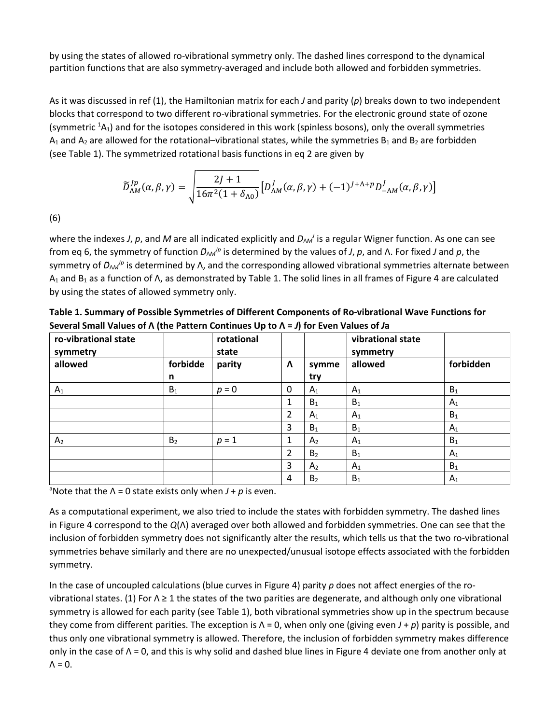by using the states of allowed ro-vibrational symmetry only. The dashed lines correspond to the dynamical partition functions that are also symmetry-averaged and include both allowed and forbidden symmetries.

As it was discussed in ref (1), the Hamiltonian matrix for each *J* and parity (*p*) breaks down to two independent blocks that correspond to two different ro-vibrational symmetries. For the electronic ground state of ozone (symmetric  ${}^{1}A_{1}$ ) and for the isotopes considered in this work (spinless bosons), only the overall symmetries  $A_1$  and  $A_2$  are allowed for the rotational–vibrational states, while the symmetries  $B_1$  and  $B_2$  are forbidden (see Table 1). The symmetrized rotational basis functions in eq 2 are given by

$$
\widetilde{D}_{\Lambda M}^{jp}(\alpha, \beta, \gamma) = \sqrt{\frac{2J + 1}{16\pi^2 (1 + \delta_{\Lambda 0})}} \left[ D_{\Lambda M}^J(\alpha, \beta, \gamma) + (-1)^{J + \Lambda + p} D_{-\Lambda M}^J(\alpha, \beta, \gamma) \right]
$$

(6)

where the indexes *J*, *p*, and *M* are all indicated explicitly and *D*<sub>ΛΛ</sub><sup>*I*</sup> is a regular Wigner function. As one can see from eq 6, the symmetry of function  $D_{\text{AM}}/p$  is determined by the values of *J*, *p*, and Λ. For fixed *J* and *p*, the symmetry of *D<sub>ΛΜ</sub><sup>Iρ</sup>* is determined by Λ, and the corresponding allowed vibrational symmetries alternate between A1 and B1 as a function of Λ, as demonstrated by Table 1. The solid lines in all frames of Figure 4 are calculated by using the states of allowed symmetry only.

| ro-vibrational state<br>symmetry<br>allowed | forbidde<br>n  | rotational<br>state<br>parity |                | symme<br>try   | vibrational state<br>symmetry<br>allowed | forbidden |
|---------------------------------------------|----------------|-------------------------------|----------------|----------------|------------------------------------------|-----------|
|                                             |                |                               | $\Lambda$      |                |                                          |           |
|                                             |                |                               |                |                |                                          |           |
| $A_1$                                       | $B_1$          | $p = 0$                       | 0              | $A_1$          | A <sub>1</sub>                           | $B_1$     |
|                                             |                |                               | 1              | $B_1$          | $B_1$                                    | $A_1$     |
|                                             |                |                               | 2              | $A_1$          | $A_1$                                    | $B_1$     |
|                                             |                |                               | 3              | $B_1$          | $B_1$                                    | $A_1$     |
| A <sub>2</sub>                              | B <sub>2</sub> | $p = 1$                       | 1              | A <sub>2</sub> | $A_1$                                    | $B_1$     |
|                                             |                |                               | $\overline{2}$ | B <sub>2</sub> | $B_1$                                    | $A_1$     |
|                                             |                |                               | 3              | A <sub>2</sub> | $A_1$                                    | $B_1$     |
|                                             |                |                               | 4              | B <sub>2</sub> | $B_1$                                    | $A_1$     |

**Table 1. Summary of Possible Symmetries of Different Components of Ro-vibrational Wave Functions for Several Small Values of Λ (the Pattern Continues Up to Λ =** *J***) for Even Values of** *J***a**

<sup>a</sup>Note that the Λ = 0 state exists only when *J* + *p* is even.

As a computational experiment, we also tried to include the states with forbidden symmetry. The dashed lines in Figure 4 correspond to the *Q*(Λ) averaged over both allowed and forbidden symmetries. One can see that the inclusion of forbidden symmetry does not significantly alter the results, which tells us that the two ro-vibrational symmetries behave similarly and there are no unexpected/unusual isotope effects associated with the forbidden symmetry.

In the case of uncoupled calculations (blue curves in Figure 4) parity *p* does not affect energies of the rovibrational states. (1) For  $\Lambda \geq 1$  the states of the two parities are degenerate, and although only one vibrational symmetry is allowed for each parity (see Table 1), both vibrational symmetries show up in the spectrum because they come from different parities. The exception is Λ = 0, when only one (giving even *J* + *p*) parity is possible, and thus only one vibrational symmetry is allowed. Therefore, the inclusion of forbidden symmetry makes difference only in the case of  $\Lambda$  = 0, and this is why solid and dashed blue lines in Figure 4 deviate one from another only at  $\Lambda = 0$ .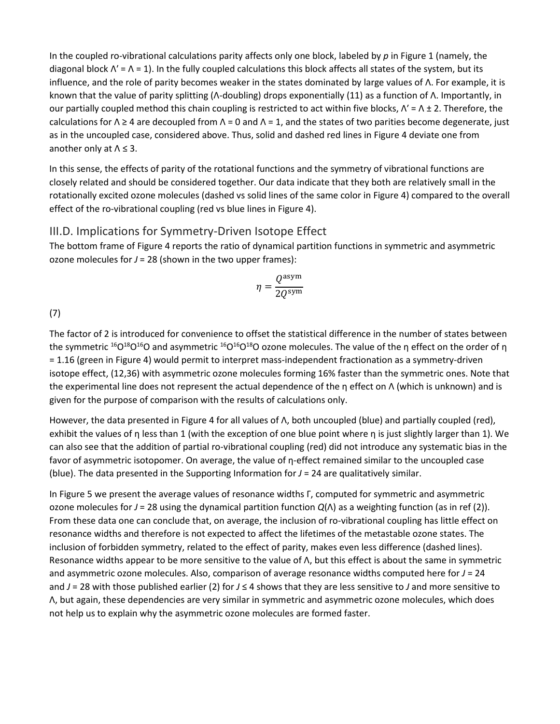In the coupled ro-vibrational calculations parity affects only one block, labeled by *p* in Figure 1 (namely, the diagonal block  $\Lambda' = \Lambda = 1$ ). In the fully coupled calculations this block affects all states of the system, but its influence, and the role of parity becomes weaker in the states dominated by large values of Λ. For example, it is known that the value of parity splitting (Λ-doubling) drops exponentially (11) as a function of Λ. Importantly, in our partially coupled method this chain coupling is restricted to act within five blocks,  $\Lambda' = \Lambda \pm 2$ . Therefore, the calculations for  $\Lambda \ge 4$  are decoupled from  $\Lambda = 0$  and  $\Lambda = 1$ , and the states of two parities become degenerate, just as in the uncoupled case, considered above. Thus, solid and dashed red lines in Figure 4 deviate one from another only at  $\Lambda \leq 3$ .

In this sense, the effects of parity of the rotational functions and the symmetry of vibrational functions are closely related and should be considered together. Our data indicate that they both are relatively small in the rotationally excited ozone molecules (dashed vs solid lines of the same color in Figure 4) compared to the overall effect of the ro-vibrational coupling (red vs blue lines in Figure 4).

#### III.D. Implications for Symmetry-Driven Isotope Effect

The bottom frame of Figure 4 reports the ratio of dynamical partition functions in symmetric and asymmetric ozone molecules for *J* = 28 (shown in the two upper frames):

$$
\eta = \frac{Q^{\rm asym}}{2 Q^{\rm sym}}
$$

(7)

The factor of 2 is introduced for convenience to offset the statistical difference in the number of states between the symmetric <sup>16</sup>O<sup>18</sup>O<sup>16</sup>O and asymmetric <sup>16</sup>O<sup>16</sup>O<sup>18</sup>O ozone molecules. The value of the η effect on the order of η = 1.16 (green in Figure 4) would permit to interpret mass-independent fractionation as a symmetry-driven isotope effect, (12,36) with asymmetric ozone molecules forming 16% faster than the symmetric ones. Note that the experimental line does not represent the actual dependence of the η effect on Λ (which is unknown) and is given for the purpose of comparison with the results of calculations only.

However, the data presented in Figure 4 for all values of Λ, both uncoupled (blue) and partially coupled (red), exhibit the values of η less than 1 (with the exception of one blue point where η is just slightly larger than 1). We can also see that the addition of partial ro-vibrational coupling (red) did not introduce any systematic bias in the favor of asymmetric isotopomer. On average, the value of η-effect remained similar to the uncoupled case (blue). The data presented in the Supporting Information for *J* = 24 are qualitatively similar.

In Figure 5 we present the average values of resonance widths Γ, computed for symmetric and asymmetric ozone molecules for *J* = 28 using the dynamical partition function *Q*(Λ) as a weighting function (as in ref (2)). From these data one can conclude that, on average, the inclusion of ro-vibrational coupling has little effect on resonance widths and therefore is not expected to affect the lifetimes of the metastable ozone states. The inclusion of forbidden symmetry, related to the effect of parity, makes even less difference (dashed lines). Resonance widths appear to be more sensitive to the value of Λ, but this effect is about the same in symmetric and asymmetric ozone molecules. Also, comparison of average resonance widths computed here for *J* = 24 and *J* = 28 with those published earlier (2) for *J* ≤ 4 shows that they are less sensitive to *J* and more sensitive to Λ, but again, these dependencies are very similar in symmetric and asymmetric ozone molecules, which does not help us to explain why the asymmetric ozone molecules are formed faster.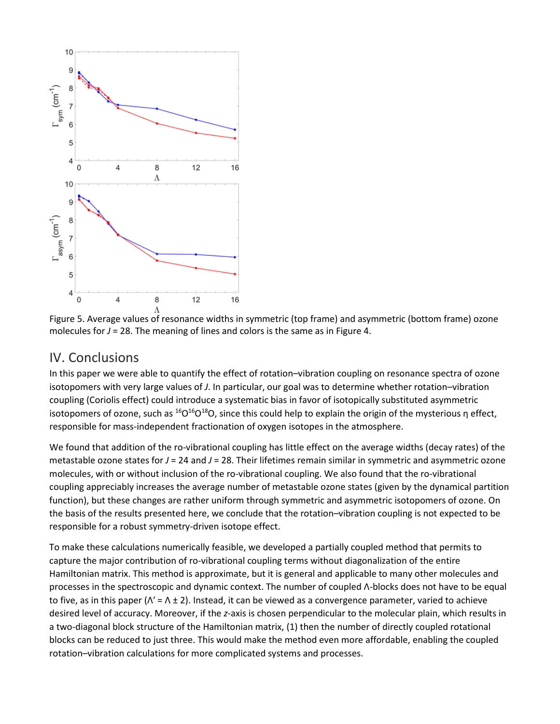

Figure 5. Average values of resonance widths in symmetric (top frame) and asymmetric (bottom frame) ozone molecules for  $J = 28$ . The meaning of lines and colors is the same as in Figure 4.

## IV. Conclusions

In this paper we were able to quantify the effect of rotation–vibration coupling on resonance spectra of ozone isotopomers with very large values of *J*. In particular, our goal was to determine whether rotation–vibration coupling (Coriolis effect) could introduce a systematic bias in favor of isotopically substituted asymmetric isotopomers of ozone, such as  ${}^{16}O^{16}O^{18}O$ , since this could help to explain the origin of the mysterious η effect, responsible for mass-independent fractionation of oxygen isotopes in the atmosphere.

We found that addition of the ro-vibrational coupling has little effect on the average widths (decay rates) of the metastable ozone states for *J* = 24 and *J* = 28. Their lifetimes remain similar in symmetric and asymmetric ozone molecules, with or without inclusion of the ro-vibrational coupling. We also found that the ro-vibrational coupling appreciably increases the average number of metastable ozone states (given by the dynamical partition function), but these changes are rather uniform through symmetric and asymmetric isotopomers of ozone. On the basis of the results presented here, we conclude that the rotation–vibration coupling is not expected to be responsible for a robust symmetry-driven isotope effect.

To make these calculations numerically feasible, we developed a partially coupled method that permits to capture the major contribution of ro-vibrational coupling terms without diagonalization of the entire Hamiltonian matrix. This method is approximate, but it is general and applicable to many other molecules and processes in the spectroscopic and dynamic context. The number of coupled Λ-blocks does not have to be equal to five, as in this paper ( $Λ' = Λ ± 2$ ). Instead, it can be viewed as a convergence parameter, varied to achieve desired level of accuracy. Moreover, if the *z*-axis is chosen perpendicular to the molecular plain, which results in a two-diagonal block structure of the Hamiltonian matrix, (1) then the number of directly coupled rotational blocks can be reduced to just three. This would make the method even more affordable, enabling the coupled rotation–vibration calculations for more complicated systems and processes.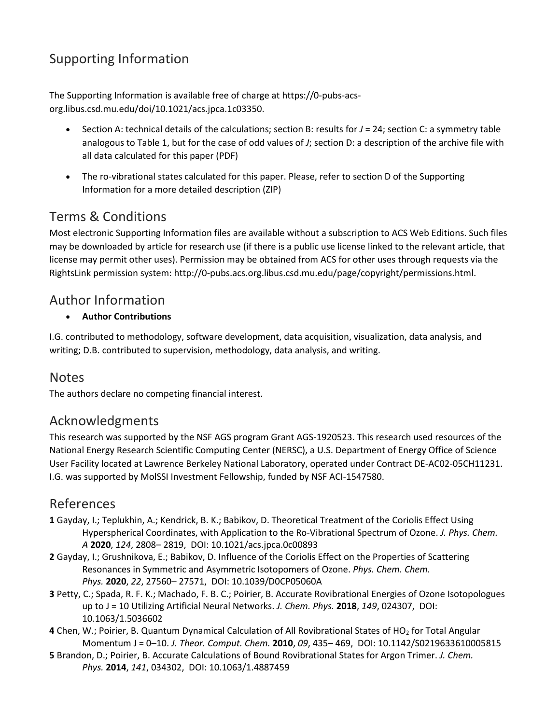## Supporting Information

The Supporting Information is available free of charge at https://0-pubs-acsorg.libus.csd.mu.edu/doi/10.1021/acs.jpca.1c03350.

- Section A: technical details of the calculations; section B: results for *J* = 24; section C: a symmetry table analogous to Table 1, but for the case of odd values of *J*; section D: a description of the archive file with all data calculated for this paper (PDF)
- The ro-vibrational states calculated for this paper. Please, refer to section D of the Supporting Information for a more detailed description (ZIP)

## Terms & Conditions

Most electronic Supporting Information files are available without a subscription to ACS Web Editions. Such files may be downloaded by article for research use (if there is a public use license linked to the relevant article, that license may permit other uses). Permission may be obtained from ACS for other uses through requests via the RightsLink permission system: http://0-pubs.acs.org.libus.csd.mu.edu/page/copyright/permissions.html.

## Author Information

#### • **Author Contributions**

I.G. contributed to methodology, software development, data acquisition, visualization, data analysis, and writing; D.B. contributed to supervision, methodology, data analysis, and writing.

## **Notes**

The authors declare no competing financial interest.

## Acknowledgments

This research was supported by the NSF AGS program Grant AGS-1920523. This research used resources of the National Energy Research Scientific Computing Center (NERSC), a U.S. Department of Energy Office of Science User Facility located at Lawrence Berkeley National Laboratory, operated under Contract DE-AC02-05CH11231. I.G. was supported by MolSSI Investment Fellowship, funded by NSF ACI-1547580.

## References

- **1** Gayday, I.; Teplukhin, A.; Kendrick, B. K.; Babikov, D. Theoretical Treatment of the Coriolis Effect Using Hyperspherical Coordinates, with Application to the Ro-Vibrational Spectrum of Ozone. *J. Phys. Chem. A* **2020**, *124*, 2808– 2819, DOI: 10.1021/acs.jpca.0c00893
- **2** Gayday, I.; Grushnikova, E.; Babikov, D. Influence of the Coriolis Effect on the Properties of Scattering Resonances in Symmetric and Asymmetric Isotopomers of Ozone. *Phys. Chem. Chem. Phys.* **2020**, *22*, 27560– 27571, DOI: 10.1039/D0CP05060A
- **3** Petty, C.; Spada, R. F. K.; Machado, F. B. C.; Poirier, B. Accurate Rovibrational Energies of Ozone Isotopologues up to J = 10 Utilizing Artificial Neural Networks. *J. Chem. Phys.* **2018**, *149*, 024307, DOI: 10.1063/1.5036602
- **4** Chen, W.; Poirier, B. Quantum Dynamical Calculation of All Rovibrational States of HO2 for Total Angular Momentum J = 0–10. *J. Theor. Comput. Chem.* **2010**, *09*, 435– 469, DOI: 10.1142/S0219633610005815
- **5** Brandon, D.; Poirier, B. Accurate Calculations of Bound Rovibrational States for Argon Trimer. *J. Chem. Phys.* **2014**, *141*, 034302, DOI: 10.1063/1.4887459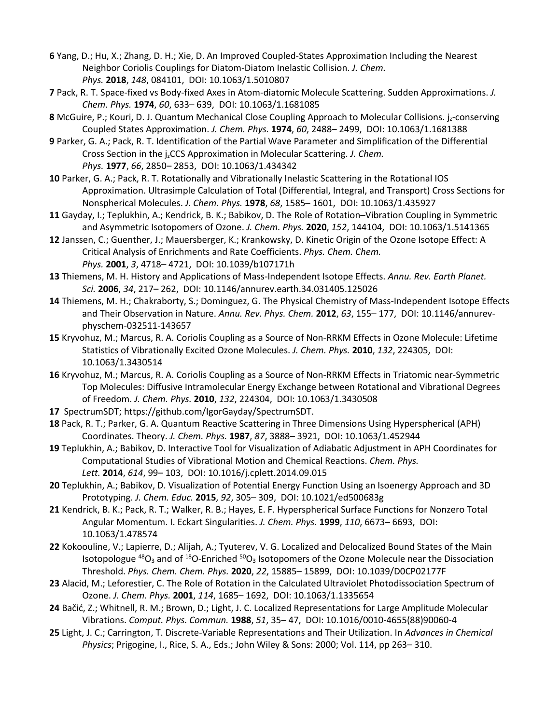- **6** Yang, D.; Hu, X.; Zhang, D. H.; Xie, D. An Improved Coupled-States Approximation Including the Nearest Neighbor Coriolis Couplings for Diatom-Diatom Inelastic Collision. *J. Chem. Phys.* **2018**, *148*, 084101, DOI: 10.1063/1.5010807
- **7** Pack, R. T. Space-fixed vs Body-fixed Axes in Atom-diatomic Molecule Scattering. Sudden Approximations. *J. Chem. Phys.* **1974**, *60*, 633– 639, DOI: 10.1063/1.1681085
- **8** McGuire, P.; Kouri, D. J. Quantum Mechanical Close Coupling Approach to Molecular Collisions. jz-conserving Coupled States Approximation. *J. Chem. Phys.* **1974**, *60*, 2488– 2499, DOI: 10.1063/1.1681388
- **9** Parker, G. A.; Pack, R. T. Identification of the Partial Wave Parameter and Simplification of the Differential Cross Section in the jzCCS Approximation in Molecular Scattering. *J. Chem. Phys.* **1977**, *66*, 2850– 2853, DOI: 10.1063/1.434342
- **10** Parker, G. A.; Pack, R. T. Rotationally and Vibrationally Inelastic Scattering in the Rotational IOS Approximation. Ultrasimple Calculation of Total (Differential, Integral, and Transport) Cross Sections for Nonspherical Molecules. *J. Chem. Phys.* **1978**, *68*, 1585– 1601, DOI: 10.1063/1.435927
- **11** Gayday, I.; Teplukhin, A.; Kendrick, B. K.; Babikov, D. The Role of Rotation–Vibration Coupling in Symmetric and Asymmetric Isotopomers of Ozone. *J. Chem. Phys.* **2020**, *152*, 144104, DOI: 10.1063/1.5141365
- **12** Janssen, C.; Guenther, J.; Mauersberger, K.; Krankowsky, D. Kinetic Origin of the Ozone Isotope Effect: A Critical Analysis of Enrichments and Rate Coefficients. *Phys. Chem. Chem. Phys.* **2001**, *3*, 4718– 4721, DOI: 10.1039/b107171h
- **13** Thiemens, M. H. History and Applications of Mass-Independent Isotope Effects. *Annu. Rev. Earth Planet. Sci.* **2006**, *34*, 217– 262, DOI: 10.1146/annurev.earth.34.031405.125026
- **14** Thiemens, M. H.; Chakraborty, S.; Dominguez, G. The Physical Chemistry of Mass-Independent Isotope Effects and Their Observation in Nature. *Annu. Rev. Phys. Chem.* **2012**, *63*, 155– 177, DOI: 10.1146/annurevphyschem-032511-143657
- **15** Kryvohuz, M.; Marcus, R. A. Coriolis Coupling as a Source of Non-RRKM Effects in Ozone Molecule: Lifetime Statistics of Vibrationally Excited Ozone Molecules. *J. Chem. Phys.* **2010**, *132*, 224305, DOI: 10.1063/1.3430514
- **16** Kryvohuz, M.; Marcus, R. A. Coriolis Coupling as a Source of Non-RRKM Effects in Triatomic near-Symmetric Top Molecules: Diffusive Intramolecular Energy Exchange between Rotational and Vibrational Degrees of Freedom. *J. Chem. Phys.* **2010**, *132*, 224304, DOI: 10.1063/1.3430508
- **17** SpectrumSDT; https://github.com/IgorGayday/SpectrumSDT.
- **18** Pack, R. T.; Parker, G. A. Quantum Reactive Scattering in Three Dimensions Using Hyperspherical (APH) Coordinates. Theory. *J. Chem. Phys.* **1987**, *87*, 3888– 3921, DOI: 10.1063/1.452944
- **19** Teplukhin, A.; Babikov, D. Interactive Tool for Visualization of Adiabatic Adjustment in APH Coordinates for Computational Studies of Vibrational Motion and Chemical Reactions. *Chem. Phys. Lett.* **2014**, *614*, 99– 103, DOI: 10.1016/j.cplett.2014.09.015
- **20** Teplukhin, A.; Babikov, D. Visualization of Potential Energy Function Using an Isoenergy Approach and 3D Prototyping. *J. Chem. Educ.* **2015**, *92*, 305– 309, DOI: 10.1021/ed500683g
- **21** Kendrick, B. K.; Pack, R. T.; Walker, R. B.; Hayes, E. F. Hyperspherical Surface Functions for Nonzero Total Angular Momentum. I. Eckart Singularities. *J. Chem. Phys.* **1999**, *110*, 6673– 6693, DOI: 10.1063/1.478574
- **22** Kokoouline, V.; Lapierre, D.; Alijah, A.; Tyuterev, V. G. Localized and Delocalized Bound States of the Main Isotopologue  $^{48}O_3$  and of  $^{18}O$ -Enriched  $^{50}O_3$  Isotopomers of the Ozone Molecule near the Dissociation Threshold. *Phys. Chem. Chem. Phys.* **2020**, *22*, 15885– 15899, DOI: 10.1039/D0CP02177F
- **23** Alacid, M.; Leforestier, C. The Role of Rotation in the Calculated Ultraviolet Photodissociation Spectrum of Ozone. *J. Chem. Phys.* **2001**, *114*, 1685– 1692, DOI: 10.1063/1.1335654
- **24** Bačić, Z.; Whitnell, R. M.; Brown, D.; Light, J. C. Localized Representations for Large Amplitude Molecular Vibrations. *Comput. Phys. Commun.* **1988**, *51*, 35– 47, DOI: 10.1016/0010-4655(88)90060-4
- **25** Light, J. C.; Carrington, T. Discrete-Variable Representations and Their Utilization. In *Advances in Chemical Physics*; Prigogine, I., Rice, S. A., Eds.; John Wiley & Sons: 2000; Vol. 114, pp 263– 310.